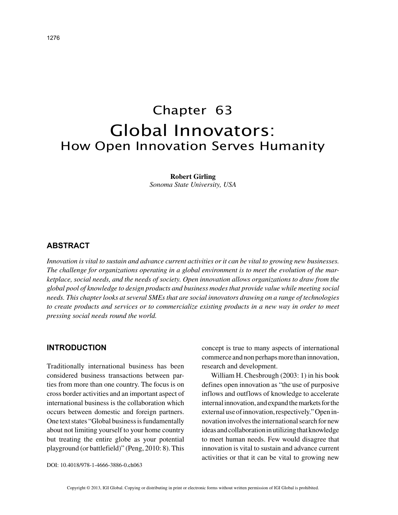# Chapter 63 Global Innovators: How Open Innovation Serves Humanity

**Robert Girling** *Sonoma State University, USA*

### **ABSTRACT**

*Innovation is vital to sustain and advance current activities or it can be vital to growing new businesses. The challenge for organizations operating in a global environment is to meet the evolution of the marketplace, social needs, and the needs of society. Open innovation allows organizations to draw from the global pool of knowledge to design products and business modes that provide value while meeting social needs. This chapter looks at several SMEs that are social innovators drawing on a range of technologies to create products and services or to commercialize existing products in a new way in order to meet pressing social needs round the world.*

## **INTRODUCTION**

Traditionally international business has been considered business transactions between parties from more than one country. The focus is on cross border activities and an important aspect of international business is the collaboration which occurs between domestic and foreign partners. One text states "Global business is fundamentally about not limiting yourself to your home country but treating the entire globe as your potential playground (or battlefield)" (Peng, 2010: 8). This

concept is true to many aspects of international commerce and non perhaps more than innovation, research and development.

William H. Chesbrough (2003: 1) in his book defines open innovation as "the use of purposive inflows and outflows of knowledge to accelerate internal innovation, and expand the markets for the external use of innovation, respectively." Open innovation involves the international search for new ideas and collaboration in utilizing that knowledge to meet human needs. Few would disagree that innovation is vital to sustain and advance current activities or that it can be vital to growing new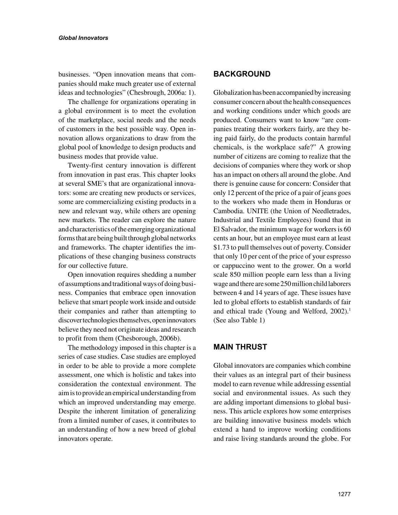businesses. "Open innovation means that companies should make much greater use of external ideas and technologies" (Chesbrough, 2006a: 1).

The challenge for organizations operating in a global environment is to meet the evolution of the marketplace, social needs and the needs of customers in the best possible way. Open innovation allows organizations to draw from the global pool of knowledge to design products and business modes that provide value.

Twenty-first century innovation is different from innovation in past eras. This chapter looks at several SME's that are organizational innovators: some are creating new products or services, some are commercializing existing products in a new and relevant way, while others are opening new markets. The reader can explore the nature and characteristics of the emerging organizational forms that are being built through global networks and frameworks. The chapter identifies the implications of these changing business constructs for our collective future.

Open innovation requires shedding a number of assumptions and traditional ways of doing business. Companies that embrace open innovation believe that smart people work inside and outside their companies and rather than attempting to discover technologies themselves, open innovators believe they need not originate ideas and research to profit from them (Chesborough, 2006b).

The methodology imposed in this chapter is a series of case studies. Case studies are employed in order to be able to provide a more complete assessment, one which is holistic and takes into consideration the contextual environment. The aim is to provide an empirical understanding from which an improved understanding may emerge. Despite the inherent limitation of generalizing from a limited number of cases, it contributes to an understanding of how a new breed of global innovators operate.

### **BACKGROUND**

Globalization has been accompanied by increasing consumer concern about the health consequences and working conditions under which goods are produced. Consumers want to know "are companies treating their workers fairly, are they being paid fairly, do the products contain harmful chemicals, is the workplace safe?" A growing number of citizens are coming to realize that the decisions of companies where they work or shop has an impact on others all around the globe. And there is genuine cause for concern: Consider that only 12 percent of the price of a pair of jeans goes to the workers who made them in Honduras or Cambodia. UNITE (the Union of Needletrades, Industrial and Textile Employees) found that in El Salvador, the minimum wage for workers is 60 cents an hour, but an employee must earn at least \$1.73 to pull themselves out of poverty. Consider that only 10 per cent of the price of your espresso or cappuccino went to the grower. On a world scale 850 million people earn less than a living wage and there are some 250 million child laborers between 4 and 14 years of age. These issues have led to global efforts to establish standards of fair and ethical trade (Young and Welford, 2002).<sup>1</sup> (See also Table 1)

# **MAIN THRUST**

Global innovators are companies which combine their values as an integral part of their business model to earn revenue while addressing essential social and environmental issues. As such they are adding important dimensions to global business. This article explores how some enterprises are building innovative business models which extend a hand to improve working conditions and raise living standards around the globe. For